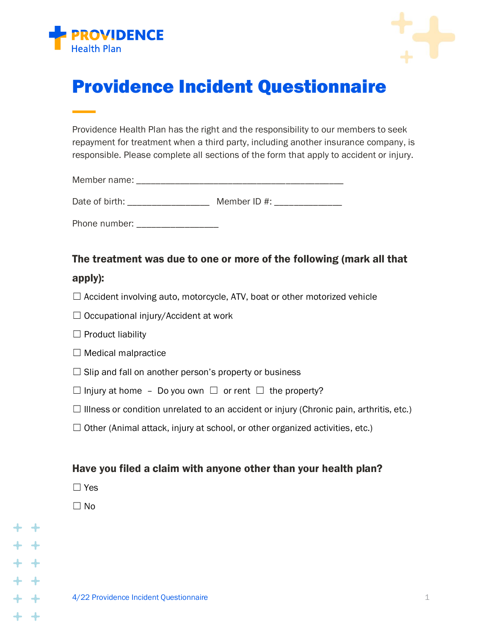



# Providence Incident Questionnaire

Providence Health Plan has the right and the responsibility to our members to seek repayment for treatment when a third party, including another insurance company, is responsible. Please complete all sections of the form that apply to accident or injury.

Member name: \_\_\_\_\_\_\_\_\_\_\_\_\_\_\_\_\_\_\_\_\_\_\_\_\_\_\_\_\_\_\_\_\_\_\_\_\_\_\_\_\_\_\_

Date of birth: \_\_\_\_\_\_\_\_\_\_\_\_\_\_\_\_\_\_\_\_ Member ID #: \_\_\_\_\_\_\_\_\_\_\_\_\_

Phone number:

# The treatment was due to one or more of the following (mark all that

## apply):

 $\Box$  Accident involving auto, motorcycle, ATV, boat or other motorized vehicle

 $\Box$  Occupational injury/Accident at work

 $\Box$  Product liability

| $\Box$ Medical malpractice |  |  |  |  |
|----------------------------|--|--|--|--|
|----------------------------|--|--|--|--|

 $\Box$  Slip and fall on another person's property or business

 $\Box$  Injury at home – Do you own  $\Box$  or rent  $\Box$  the property?

- $\Box$  Illness or condition unrelated to an accident or injury (Chronic pain, arthritis, etc.)
- $\Box$  Other (Animal attack, injury at school, or other organized activities, etc.)

### Have you filed a claim with anyone other than your health plan?

☐ Yes

☐ No

 $\rightarrow$ 

 $\rightarrow$ 

 $\leftarrow$ 

+ +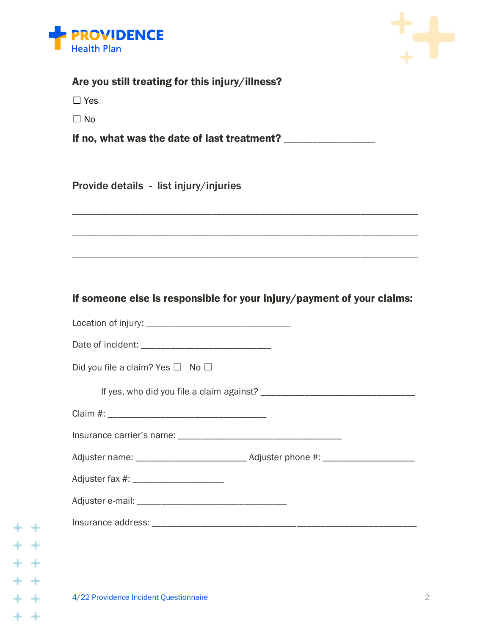

 $+ +$ 

 $+ +$ <br> $+ +$ <br> $+ +$ 

 $+ +$ 

 $+ +$ 



| Are you still treating for this injury/illness?              |                                                                        |
|--------------------------------------------------------------|------------------------------------------------------------------------|
| $\Box$ Yes                                                   |                                                                        |
| $\Box$ No                                                    |                                                                        |
| If no, what was the date of last treatment? ________________ |                                                                        |
|                                                              |                                                                        |
| Provide details - list injury/injuries                       |                                                                        |
|                                                              |                                                                        |
|                                                              |                                                                        |
|                                                              |                                                                        |
|                                                              |                                                                        |
|                                                              |                                                                        |
|                                                              | If someone else is responsible for your injury/payment of your claims: |
|                                                              |                                                                        |
|                                                              |                                                                        |
| Did you file a claim? Yes $\Box$ No $\Box$                   |                                                                        |
|                                                              |                                                                        |
|                                                              |                                                                        |
|                                                              |                                                                        |
|                                                              |                                                                        |
|                                                              |                                                                        |
|                                                              |                                                                        |
|                                                              |                                                                        |
|                                                              |                                                                        |
|                                                              |                                                                        |
|                                                              |                                                                        |
| 4/22 Providence Incident Questionnaire                       | 2                                                                      |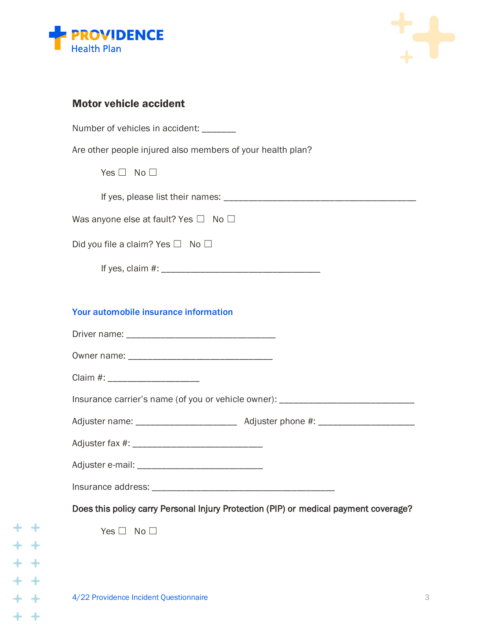



## Motor vehicle accident

| Number of vehicles in accident: _______                                              |
|--------------------------------------------------------------------------------------|
| Are other people injured also members of your health plan?                           |
| Yes $\Box$ No $\Box$                                                                 |
|                                                                                      |
| Was anyone else at fault? Yes $\Box$ No $\Box$                                       |
| Did you file a claim? Yes $\Box$ No $\Box$                                           |
|                                                                                      |
|                                                                                      |
| Your automobile insurance information                                                |
|                                                                                      |
|                                                                                      |
| Claim #: ________________________                                                    |
| Insurance carrier's name (of you or vehicle owner): ____________________________     |
|                                                                                      |
|                                                                                      |
|                                                                                      |
|                                                                                      |
| Does this policy carry Personal Injury Protection (PIP) or medical payment coverage? |
| Yes $\square$<br>No <sub>1</sub>                                                     |
|                                                                                      |
|                                                                                      |
| 4/22 Providence Incident Questionnaire                                               |

 $+ +$ 

 $+ +$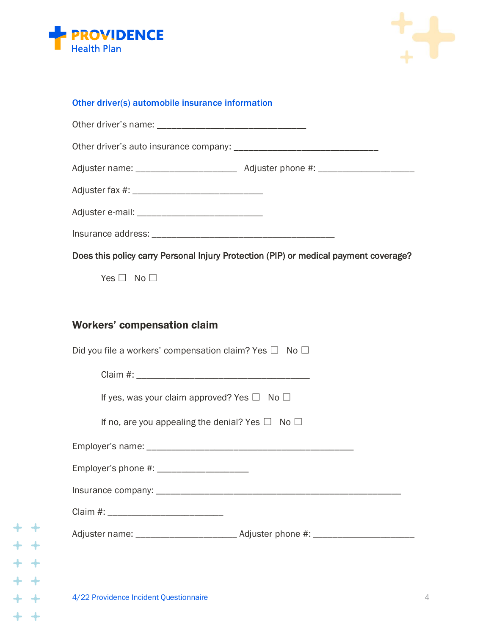



#### Other driver(s) automobile insurance information

| Does this policy carry Personal Injury Protection (PIP) or medical payment coverage?                |
|-----------------------------------------------------------------------------------------------------|
| Yes $\Box$ No $\Box$                                                                                |
|                                                                                                     |
| <b>Workers' compensation claim</b>                                                                  |
| Did you file a workers' compensation claim? Yes $\square$ No $\square$                              |
|                                                                                                     |
| If yes, was your claim approved? Yes $\Box$ No $\Box$                                               |
| If no, are you appealing the denial? Yes $\Box$ No $\Box$                                           |
|                                                                                                     |
| Employer's phone #: ______________________                                                          |
|                                                                                                     |
|                                                                                                     |
| Adjuster name: _________________________________ Adjuster phone #: ________________________________ |
|                                                                                                     |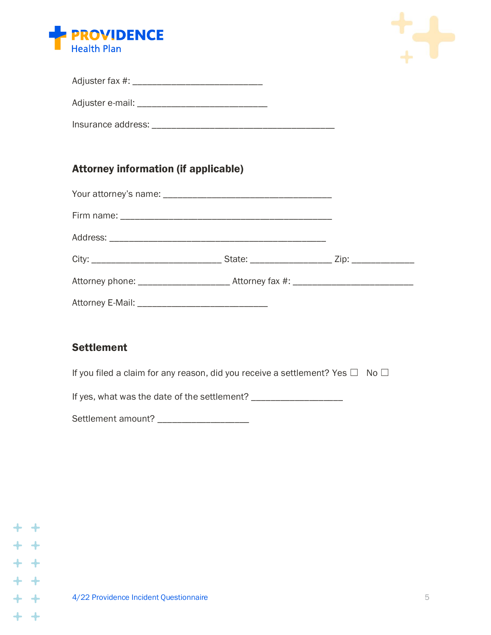



| Adjuster fax #: |  |
|-----------------|--|
|                 |  |

Adjuster e-mail: \_\_\_\_\_\_\_\_\_\_\_\_\_\_\_\_\_\_\_\_\_\_\_\_\_\_\_

Insurance address: \_\_\_\_\_\_\_\_\_\_\_\_\_\_\_\_\_\_\_\_\_\_\_\_\_\_\_\_\_\_\_\_\_\_\_\_\_\_

# Attorney information (if applicable)

| Attorney E-Mail: _________________________________ |  |
|----------------------------------------------------|--|

## **Settlement**

If you filed a claim for any reason, did you receive a settlement? Yes  $\Box$  No  $\Box$ 

If yes, what was the date of the settlement? \_\_\_\_\_\_\_\_\_\_\_\_\_\_\_\_\_\_\_

Settlement amount? \_\_\_\_\_\_\_\_\_\_\_\_\_\_\_\_\_\_\_\_\_

|         | $+ +$ |
|---------|-------|
| + +     |       |
|         | $+ +$ |
| $+$ $+$ |       |
|         | $+ +$ |
|         | $+ +$ |